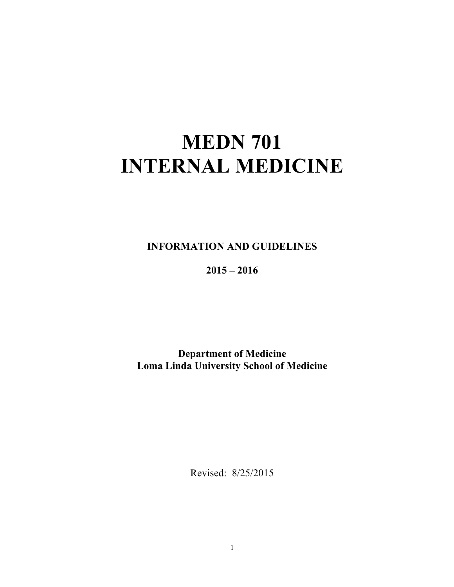# **MEDN 701 INTERNAL MEDICINE**

**INFORMATION AND GUIDELINES**

**2015 – 2016**

**Department of Medicine Loma Linda University School of Medicine**

Revised: 8/25/2015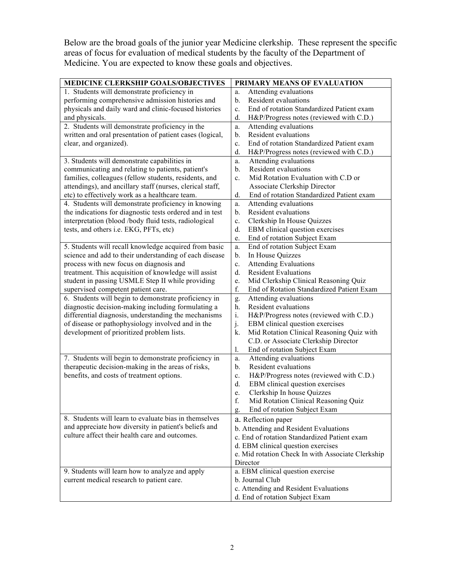Below are the broad goals of the junior year Medicine clerkship. These represent the specific areas of focus for evaluation of medical students by the faculty of the Department of Medicine. You are expected to know these goals and objectives.

| MEDICINE CLERKSHIP GOALS/OBJECTIVES                       | PRIMARY MEANS OF EVALUATION                               |  |  |
|-----------------------------------------------------------|-----------------------------------------------------------|--|--|
| 1. Students will demonstrate proficiency in               | Attending evaluations<br>a.                               |  |  |
| performing comprehensive admission histories and          | $b$ .<br><b>Resident evaluations</b>                      |  |  |
| physicals and daily ward and clinic-focused histories     | End of rotation Standardized Patient exam<br>c.           |  |  |
| and physicals.                                            | H&P/Progress notes (reviewed with C.D.)<br>d.             |  |  |
| 2. Students will demonstrate proficiency in the           | Attending evaluations<br>a.                               |  |  |
| written and oral presentation of patient cases (logical,  | Resident evaluations<br>$\mathbf{b}$ .                    |  |  |
| clear, and organized).                                    | End of rotation Standardized Patient exam<br>c.           |  |  |
|                                                           | H&P/Progress notes (reviewed with C.D.)<br>d.             |  |  |
| 3. Students will demonstrate capabilities in              | Attending evaluations<br>a.                               |  |  |
| communicating and relating to patients, patient's         | Resident evaluations<br>$\mathbf{b}$ .                    |  |  |
| families, colleagues (fellow students, residents, and     | Mid Rotation Evaluation with C.D or<br>$\mathbf{c}$ .     |  |  |
| attendings), and ancillary staff (nurses, clerical staff, | Associate Clerkship Director                              |  |  |
| etc) to effectively work as a healthcare team.            | End of rotation Standardized Patient exam<br>d.           |  |  |
| 4. Students will demonstrate proficiency in knowing       | Attending evaluations<br>a.                               |  |  |
| the indications for diagnostic tests ordered and in test  | Resident evaluations<br>b.                                |  |  |
| interpretation (blood /body fluid tests, radiological     | Clerkship In House Quizzes<br>c.                          |  |  |
| tests, and others i.e. EKG, PFTs, etc)                    | EBM clinical question exercises<br>d.                     |  |  |
|                                                           | End of rotation Subject Exam<br>e.                        |  |  |
| 5. Students will recall knowledge acquired from basic     | End of rotation Subject Exam<br>a.                        |  |  |
| science and add to their understanding of each disease    | In House Quizzes<br>b.                                    |  |  |
| process with new focus on diagnosis and                   | <b>Attending Evaluations</b><br>c.                        |  |  |
| treatment. This acquisition of knowledge will assist      | <b>Resident Evaluations</b><br>$d_{\cdot}$                |  |  |
| student in passing USMLE Step II while providing          | Mid Clerkship Clinical Reasoning Quiz<br>e.               |  |  |
| supervised competent patient care.                        | f.<br>End of Rotation Standardized Patient Exam           |  |  |
| 6. Students will begin to demonstrate proficiency in      | Attending evaluations<br>g.                               |  |  |
| diagnostic decision-making including formulating a        | Resident evaluations<br>h.                                |  |  |
| differential diagnosis, understanding the mechanisms      | $\mathbf{i}$ .<br>H&P/Progress notes (reviewed with C.D.) |  |  |
| of disease or pathophysiology involved and in the         | j.<br>EBM clinical question exercises                     |  |  |
| development of prioritized problem lists.                 | Mid Rotation Clinical Reasoning Quiz with<br>k.           |  |  |
|                                                           | C.D. or Associate Clerkship Director                      |  |  |
|                                                           | End of rotation Subject Exam<br>1.                        |  |  |
| 7. Students will begin to demonstrate proficiency in      | Attending evaluations<br>a.                               |  |  |
| therapeutic decision-making in the areas of risks,        | <b>Resident evaluations</b><br>$\mathbf{b}$ .             |  |  |
| benefits, and costs of treatment options.                 | H&P/Progress notes (reviewed with C.D.)<br>c.             |  |  |
|                                                           | d.<br>EBM clinical question exercises                     |  |  |
|                                                           | Clerkship In house Quizzes<br>e.                          |  |  |
|                                                           | f.<br>Mid Rotation Clinical Reasoning Quiz                |  |  |
|                                                           | End of rotation Subject Exam<br>g.                        |  |  |
| 8. Students will learn to evaluate bias in themselves     | a. Reflection paper                                       |  |  |
| and appreciate how diversity in patient's beliefs and     | b. Attending and Resident Evaluations                     |  |  |
| culture affect their health care and outcomes.            | c. End of rotation Standardized Patient exam              |  |  |
|                                                           | d. EBM clinical question exercises                        |  |  |
|                                                           | e. Mid rotation Check In with Associate Clerkship         |  |  |
|                                                           | Director                                                  |  |  |
| 9. Students will learn how to analyze and apply           | a. EBM clinical question exercise                         |  |  |
| current medical research to patient care.                 | b. Journal Club                                           |  |  |
|                                                           | c. Attending and Resident Evaluations                     |  |  |
|                                                           | d. End of rotation Subject Exam                           |  |  |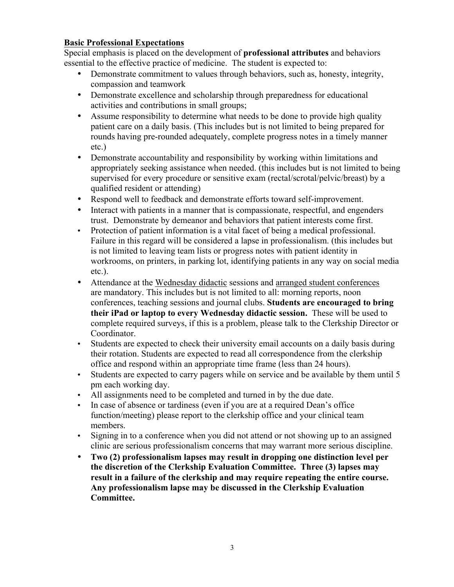## **Basic Professional Expectations**

Special emphasis is placed on the development of **professional attributes** and behaviors essential to the effective practice of medicine. The student is expected to:

- Demonstrate commitment to values through behaviors, such as, honesty, integrity, compassion and teamwork
- Demonstrate excellence and scholarship through preparedness for educational activities and contributions in small groups;
- Assume responsibility to determine what needs to be done to provide high quality patient care on a daily basis. (This includes but is not limited to being prepared for rounds having pre-rounded adequately, complete progress notes in a timely manner etc.)
- Demonstrate accountability and responsibility by working within limitations and appropriately seeking assistance when needed. (this includes but is not limited to being supervised for every procedure or sensitive exam (rectal/scrotal/pelvic/breast) by a qualified resident or attending)
- Respond well to feedback and demonstrate efforts toward self-improvement.
- Interact with patients in a manner that is compassionate, respectful, and engenders trust. Demonstrate by demeanor and behaviors that patient interests come first.
- Protection of patient information is a vital facet of being a medical professional. Failure in this regard will be considered a lapse in professionalism. (this includes but is not limited to leaving team lists or progress notes with patient identity in workrooms, on printers, in parking lot, identifying patients in any way on social media etc.).
- Attendance at the Wednesday didactic sessions and arranged student conferences are mandatory. This includes but is not limited to all: morning reports, noon conferences, teaching sessions and journal clubs. **Students are encouraged to bring their iPad or laptop to every Wednesday didactic session.** These will be used to complete required surveys, if this is a problem, please talk to the Clerkship Director or Coordinator.
- Students are expected to check their university email accounts on a daily basis during their rotation. Students are expected to read all correspondence from the clerkship office and respond within an appropriate time frame (less than 24 hours).
- Students are expected to carry pagers while on service and be available by them until 5 pm each working day.
- All assignments need to be completed and turned in by the due date.
- In case of absence or tardiness (even if you are at a required Dean's office function/meeting) please report to the clerkship office and your clinical team members.
- Signing in to a conference when you did not attend or not showing up to an assigned clinic are serious professionalism concerns that may warrant more serious discipline.
- **Two (2) professionalism lapses may result in dropping one distinction level per the discretion of the Clerkship Evaluation Committee. Three (3) lapses may result in a failure of the clerkship and may require repeating the entire course. Any professionalism lapse may be discussed in the Clerkship Evaluation Committee.**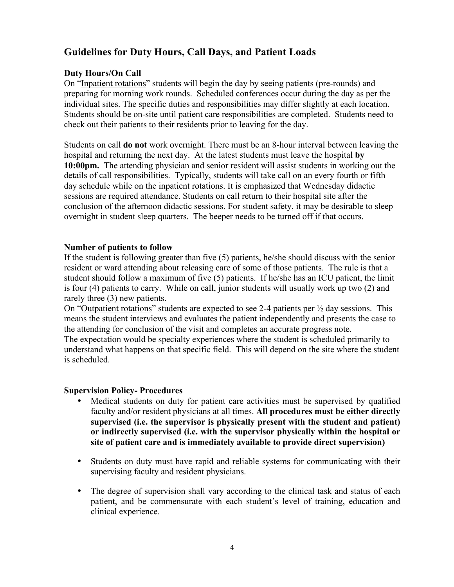# **Guidelines for Duty Hours, Call Days, and Patient Loads**

## **Duty Hours/On Call**

On "Inpatient rotations" students will begin the day by seeing patients (pre-rounds) and preparing for morning work rounds. Scheduled conferences occur during the day as per the individual sites. The specific duties and responsibilities may differ slightly at each location. Students should be on-site until patient care responsibilities are completed. Students need to check out their patients to their residents prior to leaving for the day.

Students on call **do not** work overnight. There must be an 8-hour interval between leaving the hospital and returning the next day. At the latest students must leave the hospital **by 10:00pm.** The attending physician and senior resident will assist students in working out the details of call responsibilities. Typically, students will take call on an every fourth or fifth day schedule while on the inpatient rotations. It is emphasized that Wednesday didactic sessions are required attendance. Students on call return to their hospital site after the conclusion of the afternoon didactic sessions. For student safety, it may be desirable to sleep overnight in student sleep quarters. The beeper needs to be turned off if that occurs.

## **Number of patients to follow**

If the student is following greater than five (5) patients, he/she should discuss with the senior resident or ward attending about releasing care of some of those patients. The rule is that a student should follow a maximum of five (5) patients. If he/she has an ICU patient, the limit is four (4) patients to carry. While on call, junior students will usually work up two (2) and rarely three (3) new patients.

On "Outpatient rotations" students are expected to see 2-4 patients per ½ day sessions. This means the student interviews and evaluates the patient independently and presents the case to the attending for conclusion of the visit and completes an accurate progress note.

The expectation would be specialty experiences where the student is scheduled primarily to understand what happens on that specific field. This will depend on the site where the student is scheduled.

## **Supervision Policy- Procedures**

- Medical students on duty for patient care activities must be supervised by qualified faculty and/or resident physicians at all times. **All procedures must be either directly supervised (i.e. the supervisor is physically present with the student and patient) or indirectly supervised (i.e. with the supervisor physically within the hospital or site of patient care and is immediately available to provide direct supervision)**
- Students on duty must have rapid and reliable systems for communicating with their supervising faculty and resident physicians.
- The degree of supervision shall vary according to the clinical task and status of each patient, and be commensurate with each student's level of training, education and clinical experience.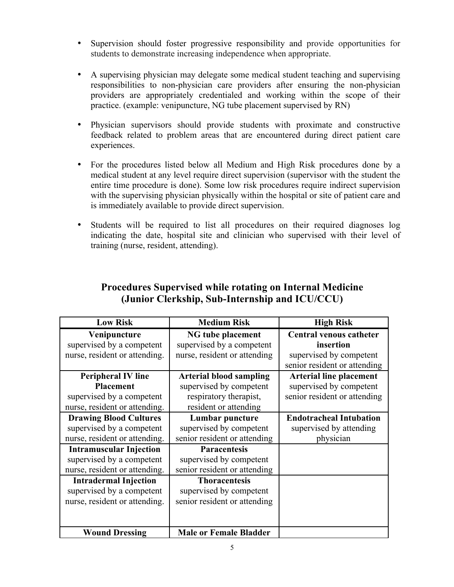- Supervision should foster progressive responsibility and provide opportunities for students to demonstrate increasing independence when appropriate.
- A supervising physician may delegate some medical student teaching and supervising responsibilities to non-physician care providers after ensuring the non-physician providers are appropriately credentialed and working within the scope of their practice. (example: venipuncture, NG tube placement supervised by RN)
- Physician supervisors should provide students with proximate and constructive feedback related to problem areas that are encountered during direct patient care experiences.
- For the procedures listed below all Medium and High Risk procedures done by a medical student at any level require direct supervision (supervisor with the student the entire time procedure is done). Some low risk procedures require indirect supervision with the supervising physician physically within the hospital or site of patient care and is immediately available to provide direct supervision.
- Students will be required to list all procedures on their required diagnoses log indicating the date, hospital site and clinician who supervised with their level of training (nurse, resident, attending).

| <b>Low Risk</b>                | <b>Medium Risk</b>             | <b>High Risk</b>               |
|--------------------------------|--------------------------------|--------------------------------|
| Venipuncture                   | <b>NG</b> tube placement       | <b>Central venous catheter</b> |
| supervised by a competent      | supervised by a competent      | insertion                      |
| nurse, resident or attending.  | nurse, resident or attending   | supervised by competent        |
|                                |                                | senior resident or attending   |
| <b>Peripheral IV line</b>      | <b>Arterial blood sampling</b> | <b>Arterial line placement</b> |
| <b>Placement</b>               | supervised by competent        | supervised by competent        |
| supervised by a competent      | respiratory therapist,         | senior resident or attending   |
| nurse, resident or attending.  | resident or attending          |                                |
| <b>Drawing Blood Cultures</b>  | Lumbar puncture                | <b>Endotracheal Intubation</b> |
| supervised by a competent      | supervised by competent        | supervised by attending        |
| nurse, resident or attending.  | senior resident or attending   | physician                      |
| <b>Intramuscular Injection</b> | <b>Paracentesis</b>            |                                |
| supervised by a competent      | supervised by competent        |                                |
| nurse, resident or attending.  | senior resident or attending   |                                |
| <b>Intradermal Injection</b>   | <b>Thoracentesis</b>           |                                |
| supervised by a competent      | supervised by competent        |                                |
| nurse, resident or attending.  | senior resident or attending   |                                |
|                                |                                |                                |
|                                |                                |                                |
| <b>Wound Dressing</b>          | <b>Male or Female Bladder</b>  |                                |

## **Procedures Supervised while rotating on Internal Medicine (Junior Clerkship, Sub-Internship and ICU/CCU)**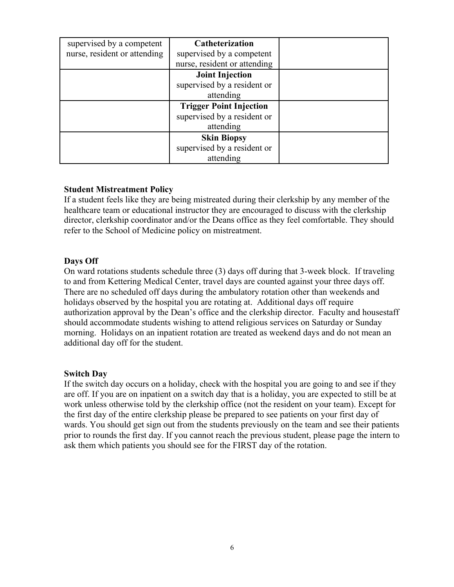| supervised by a competent    | <b>Catheterization</b>         |  |
|------------------------------|--------------------------------|--|
| nurse, resident or attending | supervised by a competent      |  |
|                              | nurse, resident or attending   |  |
|                              | <b>Joint Injection</b>         |  |
|                              | supervised by a resident or    |  |
|                              | attending                      |  |
|                              | <b>Trigger Point Injection</b> |  |
|                              | supervised by a resident or    |  |
|                              | attending                      |  |
|                              | <b>Skin Biopsy</b>             |  |
|                              | supervised by a resident or    |  |
|                              | attending                      |  |

#### **Student Mistreatment Policy**

If a student feels like they are being mistreated during their clerkship by any member of the healthcare team or educational instructor they are encouraged to discuss with the clerkship director, clerkship coordinator and/or the Deans office as they feel comfortable. They should refer to the School of Medicine policy on mistreatment.

#### **Days Off**

On ward rotations students schedule three (3) days off during that 3-week block. If traveling to and from Kettering Medical Center, travel days are counted against your three days off. There are no scheduled off days during the ambulatory rotation other than weekends and holidays observed by the hospital you are rotating at. Additional days off require authorization approval by the Dean's office and the clerkship director. Faculty and housestaff should accommodate students wishing to attend religious services on Saturday or Sunday morning. Holidays on an inpatient rotation are treated as weekend days and do not mean an additional day off for the student.

#### **Switch Day**

If the switch day occurs on a holiday, check with the hospital you are going to and see if they are off. If you are on inpatient on a switch day that is a holiday, you are expected to still be at work unless otherwise told by the clerkship office (not the resident on your team). Except for the first day of the entire clerkship please be prepared to see patients on your first day of wards. You should get sign out from the students previously on the team and see their patients prior to rounds the first day. If you cannot reach the previous student, please page the intern to ask them which patients you should see for the FIRST day of the rotation.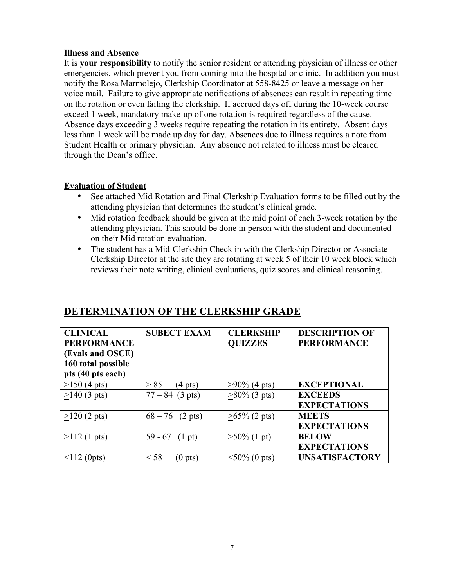#### **Illness and Absence**

It is **your responsibility** to notify the senior resident or attending physician of illness or other emergencies, which prevent you from coming into the hospital or clinic. In addition you must notify the Rosa Marmolejo, Clerkship Coordinator at 558-8425 or leave a message on her voice mail. Failure to give appropriate notifications of absences can result in repeating time on the rotation or even failing the clerkship. If accrued days off during the 10-week course exceed 1 week, mandatory make-up of one rotation is required regardless of the cause. Absence days exceeding 3 weeks require repeating the rotation in its entirety. Absent days less than 1 week will be made up day for day. Absences due to illness requires a note from Student Health or primary physician. Any absence not related to illness must be cleared through the Dean's office.

### **Evaluation of Student**

- See attached Mid Rotation and Final Clerkship Evaluation forms to be filled out by the attending physician that determines the student's clinical grade.
- Mid rotation feedback should be given at the mid point of each 3-week rotation by the attending physician. This should be done in person with the student and documented on their Mid rotation evaluation.
- The student has a Mid-Clerkship Check in with the Clerkship Director or Associate Clerkship Director at the site they are rotating at week 5 of their 10 week block which reviews their note writing, clinical evaluations, quiz scores and clinical reasoning.

| <b>CLINICAL</b><br><b>PERFORMANCE</b><br>(Evals and OSCE)<br>160 total possible | <b>SUBECT EXAM</b>          | <b>CLERKSHIP</b><br><b>QUIZZES</b> | <b>DESCRIPTION OF</b><br><b>PERFORMANCE</b> |
|---------------------------------------------------------------------------------|-----------------------------|------------------------------------|---------------------------------------------|
| pts (40 pts each)                                                               |                             |                                    |                                             |
| $>150(4 \text{ pts})$                                                           | > 85<br>$(4 \text{ pts})$   | $>90\%$ (4 pts)                    | <b>EXCEPTIONAL</b>                          |
| $>140(3 \text{ pts})$                                                           | $77 - 84$ (3 pts)           | $>80\%$ (3 pts)                    | <b>EXCEEDS</b>                              |
|                                                                                 |                             |                                    | <b>EXPECTATIONS</b>                         |
| $>120(2 \text{ pts})$                                                           | $68 - 76$ (2 pts)           | $>65\%$ (2 pts)                    | <b>MEETS</b>                                |
|                                                                                 |                             |                                    | <b>EXPECTATIONS</b>                         |
| $>112$ (1 pts)                                                                  | 59 - 67 $(1 \text{ pt})$    | $\geq 50\%$ (1 pt)                 | <b>BELOW</b>                                |
|                                                                                 |                             |                                    | <b>EXPECTATIONS</b>                         |
| $112$ (0pts)                                                                    | $<$ 58<br>$(0 \text{ pts})$ | $\leq 50\%$ (0 pts)                | <b>UNSATISFACTORY</b>                       |

# **DETERMINATION OF THE CLERKSHIP GRADE**